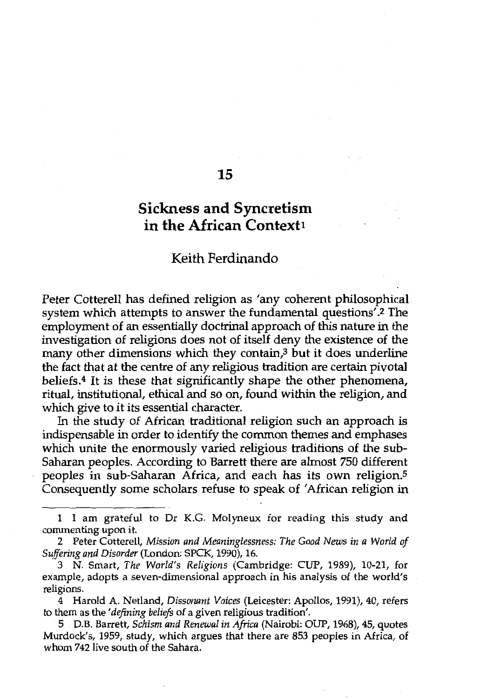# **Sickness and Syncretism in the African Context1**

15

### Keith Ferdinando

Peter Cotterell has defined religion as 'any coherent philosophical system which attempts to answer the fundamental questions'.2 The employment of an essentially doctrinal approach of this nature in the investigation of religions does not of itself deny the existence of the many other dimensions which they contain, $\beta$  but it does underline the fact that at the centre of any religious tradition are certain pivotal beliefs.4 It is these that significantly shape the other phenomena, ritual, institutional, ethical and so on, found within the religion, and which give to it its essential character.

In the study of African traditional religion such an approach is indispensable in order to identify the common themes and emphases which unite the enormously varied religious traditions of the sub-Saharan peoples. According to Barrett there are almost 750 different peoples in sub-Saharan Africa, and each has its own religion.<sup>5</sup> Consequently some scholars refuse to speak of 'African religion in

4 Harold A. Netland, *Dissonant Voices* (Leicester: Apollos, 1991), 40, refers to them as the *'defining beliefs* of a given religious tradition'.

5 D.B. Barrett, *Schism and Renewal in Africa* (Nairobi: OUP, 1968), 45, quotes Murdock's, 1959, study, which argues that there are 853 peoples in Africa, of whom 742 live south of the Sahara.

<sup>1</sup> I am grateful to Dr K.G. Molyneux for reading this study and commenting upon it.

<sup>2</sup> Peter Cotterell, *Mission and Meaninglessness: The Good News in a World of Suffering and Disorder* (London: SPCK, 1990), 16.

<sup>3</sup> N. Smart, *The World's Religions* (Cambridge: CUP, 1989), 10-21, for example, adopts a seven-dimensional approach in his analysis of the world's religions.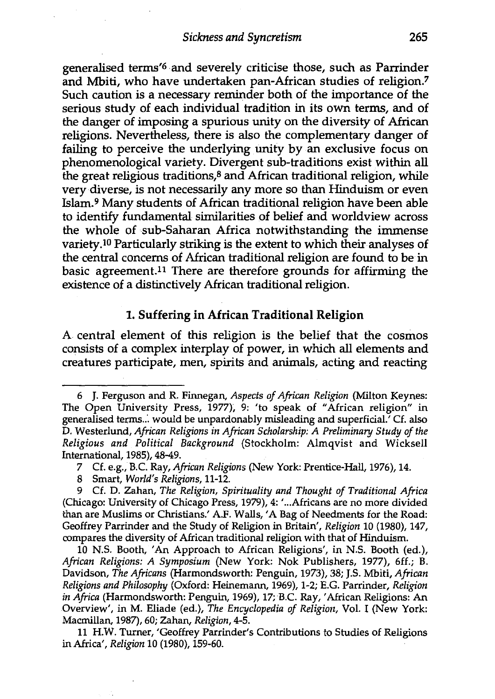generalised terms'6 and severely criticise those, such as Parrinder and Mbiti, who have undertaken pan-African studies of religion.7 Such caution is a necessary reminder both of the importance of the serious study of each individual tradition in its own terms, and of the danger of imposing a spurious unity on the diversity of African religions. Nevertheless, there is also the complementary danger of failing to perceive the underlying unity by an exclusive focus on phenomenological variety. Divergent sub-traditions exist within all the great religious traditions,8 and African traditional religion, while very diverse, is not necessarily any more so than Hinduism or even Islam.9 Many students of African traditional religion have been able to identify fundamental similarities of belief and worldview across the whole of sub-Saharan Africa notwithstanding the immense variety.10 Particularly striking is the extent to which their analyses of the central concerns of African traditional religion are found to be in basic agreement.11 There are therefore grounds for affirming the existence of a distinctively African traditional religion.

#### **1. Suffering in African Traditional Religion**

A central element of this religion is the belief that the cosmos consists of a complex interplay of power, in which all elements and creatures participate, men, spirits and animals, acting and reacting

<sup>6</sup> J. Ferguson and R. Finnegan, *Aspects of African Religion* (Milton Keynes: The Open University Press, 1977); 9: 'to speak of "African religion" in generalised terms.:. would be unpardonably misleading and superficial.' Cf. also D. Westerlund, *African Religions in African Scholarship: A Preliminary Study of the Religious and Political Background* (Stockholm: Almqvist and Wicksell International, 1985), 48-49.

<sup>7</sup> Cf. e.g., B.C. Ray, *African Religions* (New York: Prentice-Hall, 1976), 14.

<sup>8</sup> Smart, *World's Religions,* 11-12.

<sup>9</sup> Cf. D. Zahan, *The Religion, Spirituality and Thought of Traditional Africa*  (Chicago: University of Chicago Press, 1979), 4: ' ... Africans are no more divided than are Muslims or Christians.' A.F. Walls,' A Bag of Needments for the Road: Geoffrey Parrinder and the Study of Religion in Britain', *Religion* 10 (1980), 147, compares the diversity of African traditional religion with that of Hinduism.

<sup>10</sup> N.S. Booth, 'An Approach to African Religions', in N.S. Booth (ed.), *African Religions: A Symposium* (New York: Nok Publishers, 1977), 6ff.; B. Davidson, *The Africans* (Harmondsworth: Penguin, 1973), 38; J.S. Mbiti, *African Religions and Philosophy* (Oxford: Heinemann, 1969), 1-2; E.G. Parrinder, *Religion in Africa* (Harmondsworth: Penguin, 1969), 17; B.C. Ray, 'African Religions: An Overview', in M. Eliade (ed.), *The Encyclopedia of Religion,* Vol. I (New York: Macmillan, 1987), 60; Zahan, *Religion,* 4-5.

<sup>11</sup> **H.W.** Turner, 'Geoffrey Parrinder's Contributions to Studies of Religions in Africa', *Religion* 10 (1980), 159-60.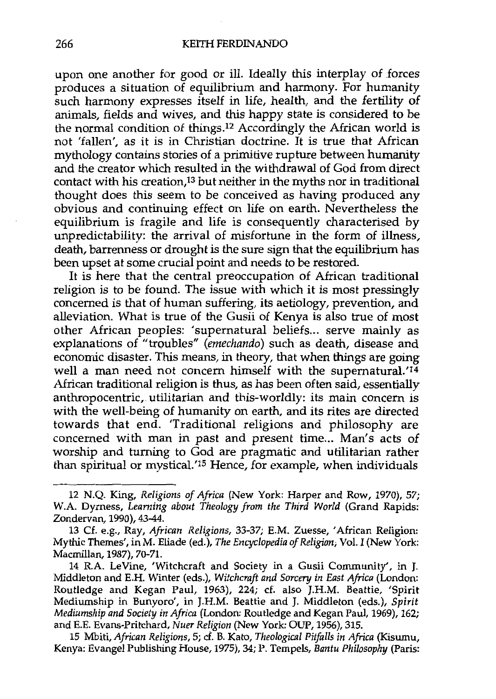upon one another for good or ill. Ideally this interplay of forces produces a situation of equilibrium and harmony. For humanity such harmony expresses itself in life, health, and the fertility of animals, fields and wives, and this happy state is considered to be the normal condition of things.12 Accordingly the African world is not 'fallen', as it is in Christian doctrine. It is true that African mythology contains stories of a primitive rupture between humanity and the creator which resulted in the withdrawal of God from direct contact with his creation,13 but neither in the myths nor in traditional thought does this seem to be conceived as having produced any obvious and continuing effect on life on earth. Nevertheless the equilibrium is fragile and life is consequently characterised by unpredictability: the arrival of misfortune in the form of illness, death, barrenness or drought is the sure sign that the equilibrium has been upset at some crucial point and needs to be restored.

It is here that the central preoccupation of African traditional religion is to be found. The issue with which it is most pressingly concerned is that of human suffering, its aetiology, prevention, and alleviation. What is true of the Gusii of Kenya is also true of most other African peoples: 'supernatural beliefs... serve mainly as explanations of "troubles" (emechando) such as death, disease and economic disaster. This means, in theory, that when things are going well a man need not concern himself with the supernatural.'<sup>14</sup> African traditional religion is thus, as has been often said, essentially anthropocentric, utilitarian and this-worldly: its main concern is with the well-being of humanity on earth, and its rites are directed towards that end. 'Traditional religions and philosophy are concerned with man in past and present time... Man's acts of worship and turning to God are pragmatic and utilitarian rather than spiritual or mystical.'15 Hence, for example, when individuals

15 Mbiti, *African Religions,* 5; cf. B. Kato, *Theological Pitfalls in Africa* (Kisumu, Kenya: Evangel Publishing House, 1975), 34; P. Tempels, *Bantu Philosophy* (Paris:

<sup>12</sup> N.Q. King, *Religions of Africa* (New York: Harper and Row, 1970), 57; W.A. Dyrness, *Learning about Theology from the Third World* (Grand Rapids: Zondervan, 1990), 43-44.

<sup>13</sup> Cf. e.g., Ray, *African Religions,* 33-37; E.M. Zuesse, 'African Religion: Mythic Themes', in M. Eliade (ed.), *The Encyclopedia of Religion;* Vol. I (New York: Macmillan, 1987), 70-71.

<sup>14</sup> R.A. LeVine, 'Witchcraft and Society in a Gusii Community', in J. Middleton and E.H. Winter (eds.), *Witchcraft and Sorcery in East Africa* (London: Routledge and Kegan Paul, 1963), 224; cf. also J.H.M. Beattie, 'Spirit Mediumship in Bunyoro', in J.H.M. Beattie and J. Middleton (eds.), *Spirit Mediumship and Society in Africa* (London: Routledge and Kegan Paul, 1969), 162; and E.E. Evans-Pritchard, *Nuer Religion* (New York: OUP, 1956), 315.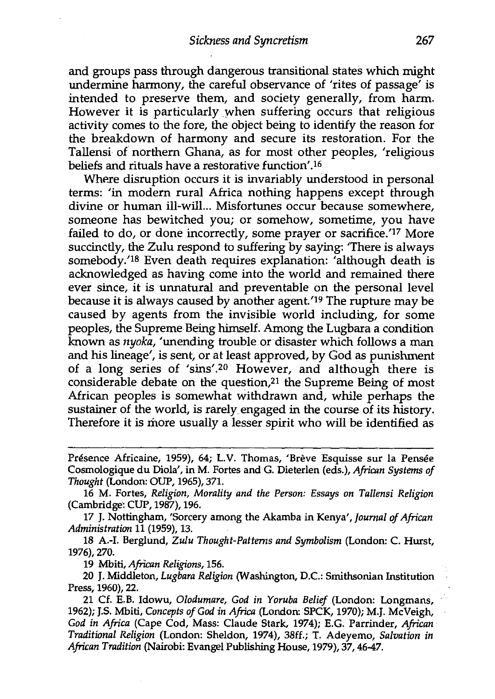and groups pass through dangerous transitional states which might undermine harmony, the careful observance of 'rites of passage' is intended to preserve them, and society generally, from harm. However it is particularly when suffering occurs that religious activity comes to the fore, the object being to identify the reason for the breakdown of harmony and secure its restoration. For the Tallensi of northern Ghana, as for most other peoples, 'religious beliefs and rituals have a restorative function'.<sup>16</sup>

Where disruption occurs it is invariably understood in personal terms: 'in modern rural Africa nothing happens except through divine or human ill-will... Misfortunes occur because somewhere, someone has bewitched you; or somehow, sometime, you have failed to do, or done incorrectly, some prayer or sacrifice.<sup>'17</sup> More succinctly, the Zulu respond to suffering by saying: 'There is always somebody.'18 Even death requires explanation: 'although death is acknowledged as having come into the world and remained there ever since, it is unnatural and preventable on the personal level because it is always caused by another agent.'19 The rupture may be caused by agents from the invisible world including, for some peoples, the Supreme Being himself. Among the Lugbara a condition known as *nyoka,* 'unending trouble or disaster which follows a man and his lineage', is sent, or at least approved, by God as punishment of a long series of 'sins'.20 However, and although there is considerable debate on the question, $21$  the Supreme Being of most African peoples is somewhat withdrawn and, while perhaps the sustainer of the world, is rarely engaged in the course of its history. Therefore it is more usually a lesser spirit who will be identified as

17 J. Nottingham, 'Sorcery among the Akamba in Kenya', *Journal of African Administration* 11 (1959), 13.

18 A.-1. Berglund, *Zulu Thought-Pattems and Symbolism* (London: C. Hurst, 1976), 270.

19 Mbiti, *African Religions,* 156.

20 J. Middleton, *Lugbara Religion* (Washington, D.C.: Smithsonian Institution Press, 1960), 22.

21 Cf. E.B. Idowu, *Olodumare, God in Yoruba Belief* (London: Longmans, 1962); J.S. Mbiti, *Concepts of God in Africa* (London: SPCK, 1970); M.J. McVeigh, *God in Africa* (Cape Cod, Mass: Claude Stark, 1974); E.G. Parrinder, *African Traditional Religion* (London: Sheldon, 1974), 38ff.; T. Adeyemo, *Salvation in African Tradition* (Nairobi: Evangel Publishing House, 1979), 37, 46-47.

Presence Africaine, 1959), 64; L.V. Thomas, 'Breve Esquisse sur la Pensee Cosmologique du Diola', in M. Fortes and G. Dieterlen (eds.), *African Systems of Thought* (London: OUP, 1965), 371.

<sup>16</sup> M. Fortes, *Religion, Morality and the Person: Essays on Tallensi Religion*  (Cambridge: CUP, 1987), 196.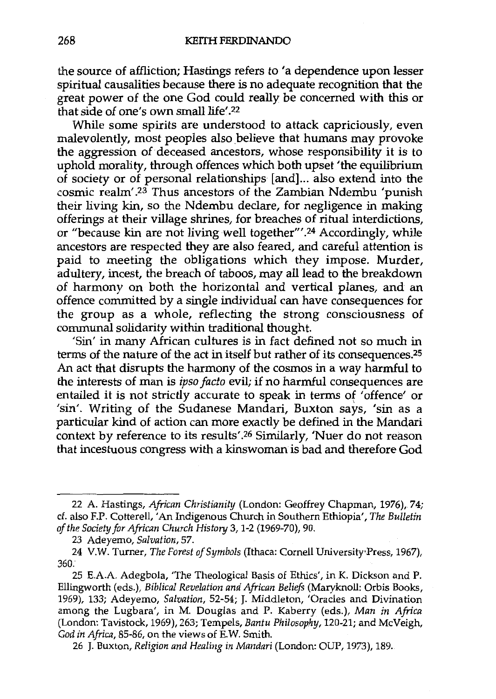the source of affliction; Hastings refers to 'a dependence upon lesser spiritual causalities because there is no adequate recognition that the great power of the one God could really be concerned with this or that side of one's own small life'.22

While some spirits are understood to attack capriciously, even malevolently, most peoples also believe that humans may provoke the aggression of deceased ancestors, whose responsibility it is to uphold morality, through offences which both upset 'the equilibrium of society or of personal relationships [and] ... also extend into the cosmic realm' . 23 Thus ancestors of the Zambian Ndembu 'punish their living kin, so the Ndembu declare, for negligence in making offerings at their village shrines, for breaches of ritual interdictions, or "because kin are not living well together"'.24 Accordingly, while ancestors are respected they are also feared, and careful attention is paid to meeting the obligations which they impose. Murder, adultery, incest, the breach of taboos, may all lead to the breakdown of harmony on both the horizontal and vertical planes, and an offence committed by a single individual can have consequences for the group as a whole, reflecting the strong consciousness of communal solidarity within traditional thought.

'Sin' in many African cultures is in fact defined not so much in terms of the nature of the act in itself but rather of its consequences.25 An act that disrupts the harmony of the cosmos in a way harmful to the interests of man is *ipso facto* evil; if no harmful consequences are entailed it is not strictly accurate to speak in terms of 'offence' or 'sin'. Writing of the Sudanese Mandari, Buxton says, 'sin as a particular kind of action can more exactly be defined in the Mandari context by reference to its results'.26 Similarly, 'Nuer do not reason that incestuous congress with a kinswoman is bad and therefore God

26 J. Buxton, *Religion and Healing in Mandari* (London: OUP, 1973), 189.

<sup>22</sup> A. Hastings, *African Christianity* (London: Geoffrey Chapman, 1976), 74; cf. also F.P. Cotterell, 'An Indigenous Church in Southern Ethiopia', *The Bulletin of the Society for African Church History* 3, 1-2 (1969-70), 90.

<sup>23</sup> Adeyemo, *Salvation,* 57.

<sup>24</sup> V.W. Turner, *The Forest of Symbols* (Ithaca: Cornell University·Press, 1967), 360.

<sup>25</sup> E.A.A. Adegbola, 'The Theological Basis of Ethics', in K. Dickson and P. Ellingworth (eds.), *Biblical Revelation and African Beliefs* (Maryknoll: Orbis Books, 1969), 133; Adeyemo, *Salvation,* 52-54; J. Middleton, 'Oracles and Divination among the Lugbara', in M. Douglas and P. Kaberry (eds.), *Man in Africa*  (London: Tavistock, 1969), 263; Tempels, *Bantu Philosophy,* 120-21; and McVeigh, *God in Africa,* 85-86, on the views of E.W. Smith.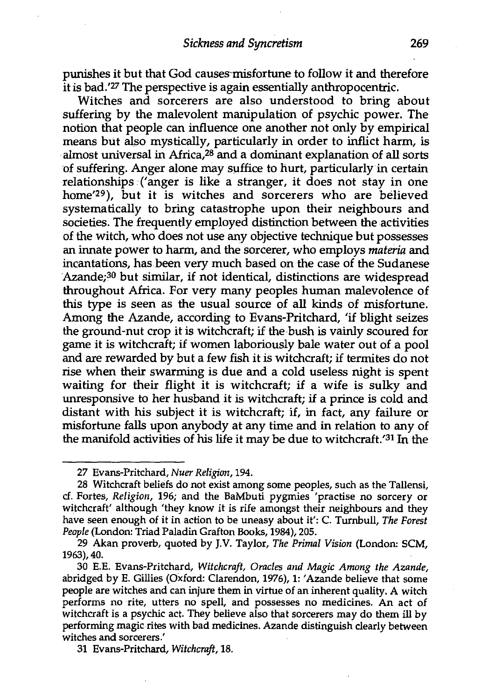punishes it but that God causes-misfortune to follow it and therefore it is bad.'27 The perspective is again essentially anthropocentric.

Witches and sorcerers are also understood to bring about suffering by the malevolent manipulation of psychic power. The notion that people can influence one another not only by empirical means but also mystically, particularly in order to inflict harm, is almost universal in Africa,28 and a dominant explanation of all sorts of suffering. Anger alone may suffice to hurt, particularly in certain relationships ('anger is like a stranger, it does not stay in one home'29), but it is witches and sorcerers who are believed systematically to bring catastrophe upon their neighbours and societies. The frequently employed distinction between the activities of the witch, who does not use any objective technique but possesses an innate power to harm, and the sorcerer, who employs *materia* and incantations, has been very much based on the case of the Sudanese Azande;<sup>30</sup> but similar, if not identical, distinctions are widespread throughout Africa. For very many peoples human malevolence of this type is seen as the usual source of all kinds of misfortune. Among the Azande, according to Evans-Pritchard, 'if blight seizes the ground-nut crop it is witchcraft; if the bush is vainly scoured for game it is witchcraft; if women laboriously bale water out of a pool and are rewarded by but a few fish it is witchcraft; if termites do not rise when their swarming is due and a cold useless night is spent waiting for their flight it is witchcraft; if a wife is sulky and unresponsive to her husband it is witchcraft; if a prince is cold and distant with his subject it is witchcraft; if, in fact, any failure or misfortune falls upon anybody at any time and in relation to any of the manifold activities of his life it may be due to witchcraft.' $31$  In the

31 Evans-Pritchard, *Witchcraft,* 18.

<sup>27</sup> Evans-Pritchard, *Nuer Religion,* 194.

<sup>28</sup> Witchcraft beliefs do not exist among some peoples, such as the Tallensi, cf. Fortes, *Religion,* 196; and the BaMbuti pygmies 'practise no sorcery or witchcraft' although 'they know it is rife amongst their neighbours and they have seen enough of it in action to be uneasy about it': C. Turnbull, *The Forest Peaple* (London: Triad Paladin Grafton Books, 1984), 205.

<sup>29</sup> Akan proverb, quoted by J.V. Taylor, *The Primal Vision* (London: SCM, 1963),40.

<sup>30</sup> E.E. Evans-Pritchard, *Witchcraft, Oracles and Magic Among the Azande,*  abridged by E. Gillies (Oxford: Clarendon, 1976), 1: 'Azande believe that some people are witches and can injure them in virtue of an inherent quality. A witch performs no rite, utters no spell, and possesses no medicines. An act of witchcraft is a psychic act. They believe also that sorcerers may do them ill by performing magic rites with bad medicines. Azande distinguish clearly between witches and sorcerers.'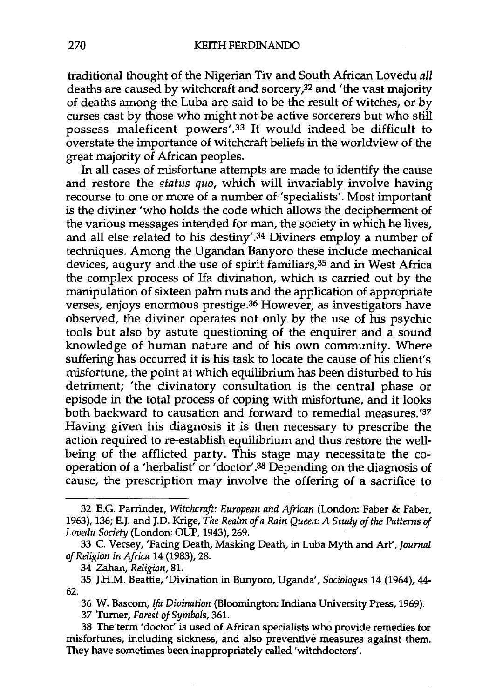traditional thought of the Nigerian Tiv and South African Lovedu *all*  deaths are caused by witchcraft and sorcery,<sup>32</sup> and 'the vast majority of deaths among the Luba are said to be the result of witches, or by curses cast by those who might not be active sorcerers but who still possess maleficent powers'.33 It would indeed be difficult to overstate the importance of witchcraft beliefs in the worldview of the great majority of African peoples.

In all cases of misfortune attempts are made to identify the cause and restore the *status qua,* which will invariably involve having recourse to one or more of a number of 'specialists'. Most important is the diviner 'who holds the code which allows the decipherment of the various messages intended for man, the society in which he lives, and all else related to his destiny'.34 Diviners employ a number of techniques. Among the Ugandan Banyoro these include mechanical devices, augury and the use of spirit familiars,35 and in West Africa the complex process of Ifa divination, which is carried out by the manipulation of sixteen palm nuts and the application of appropriate verses, enjoys enormous prestige.<sup>36</sup> However, as investigators have observed, the diviner operates not only by the use of his psychic tools but also by astute questioning of the enquirer and a sound knowledge of human nature and of his own community. Where suffering has occurred it is his task to locate the cause of his client's misfortune, the point at which equilibrium has been disturbed to his detriment; 'the divinatory consultation is the central phase or episode in the total process of coping with misfortune, and it looks both backward to causation and forward to remedial measures.'37 Having given his diagnosis it is then necessary to prescribe the action required to re-establish equilibrium and thus restore the wellbeing of the afflicted party. This stage may necessitate the cooperation of a 'herbalist' or 'doctor'.<sup>38</sup> Depending on the diagnosis of cause, the prescription may involve the offering of a sacrifice to

36 W. Bascom, *Ifa Divination* (Bloomington: Indiana University Press, 1969).

37 Turner, *Forest of Symbols,* 361.

<sup>32</sup> E.G. Parrinder, *Witchcraft: European and African* (London: Faber & Faber, 1963), 136; E.J. and J.D. Krige, *The Realm of a Rain Queen: A Study of the Patterns of Lovedu Society* (London: OUP, 1943), 269.

<sup>33</sup> C. Vecsey, 'Facing Death, Masking Death, in Luba Myth and Art', *Journal of Religion in Africa* 14 (1983), 28.

<sup>34</sup> Zahan, *Religion,* 81.

<sup>62.</sup>  35 J.H.M. Beattie, 'Divination in Bunyoro, Uganda', *Sociologus* 14 (1964), 44-

<sup>38</sup> The term 'doctor' is used of African specialists who provide remedies for misfortunes, including sickness, and also preventive measures against them. They have sometimes been inappropriately called 'witchdoctors'.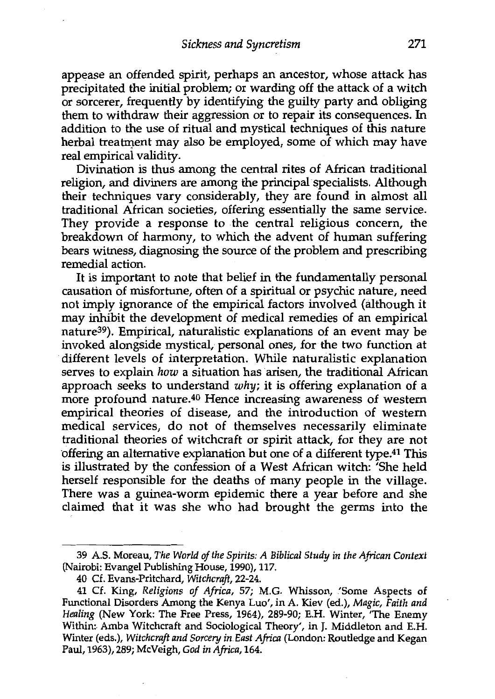appease an offended spirit, perhaps an ancestor, whose attack has precipitated the initial problem; or warding off the attack of a witch or sorcerer, frequently by identifying the guilty party and obliging them to withdraw their aggression or to repair its consequences. In addition to the use of ritual and mystical techniques of this nature herbal treatment may also be employed, some of which may have real empirical validity.

Divination is thus among the central rites of African traditional religion, and diviners are among the principal specialists. Although their techniques vary considerably, they are found in almost all traditional African societies, offering essentially the same service. They provide a response to the central religious concern, the breakdown of harmony, to which the advent of human suffering bears witness, diagnosing the source of the problem and prescribing remedial action.

It is important to note that belief in the fundamentally personal causation of misfortune, often of a spiritual or psychic nature, need not imply ignorance of the empirical factors involved (although it may inhibit the development of medical remedies of an empirical nature39). Empirical, naturalistic explanations of an event may be invoked alongside mystical, personal ones, for the two function at different levels of interpretation. While naturalistic explanation serves to explain *how* a situation has arisen, the traditional African approach seeks to understand *why;* it is offering explanation of a more profound nature.<sup>40</sup> Hence increasing awareness of western empirical theories of disease, and the introduction of western medical services, do not of themselves necessarily eliminate traditional theories of witchcraft or spirit attack, for they are not offering an alternative explanation but one of a different type.<sup>41</sup> This is illustrated by the confession of a West African witch: 'She held herself responsible for the deaths of many people in the village. There was a guinea-worm epidemic there a year before and she daimed that it was she who had brought the germs into the

<sup>39</sup> A.S. Moreau, *The World of the Spirits: A Biblical Study in the African Context*  (Nairobi: Evangel Publishing House, 1990), 117.

<sup>40</sup> Cf. Evans-Pritchard, *Witchcraft,* 22-24.

<sup>41</sup> Cf. King, *Religions of Africa,* 57; M.G. Whisson, 'Some Aspects of Functional Disorders Among the Kenya Luo', in A. Kiev (ed.), *Magic, Faith and Healing* (New York: The Free Press, 1964), 289-90; E.H. Winter, 'The Enemy Within: Amba Witchcraft and Sociological Theory', in J. Middleton and E.H. Winter (eds.), *Witchcraft and Sorcery in East Africa* (London: Routledge and Kegan Paul, 1963), 289; McVeigh, *God in Africa,* 164.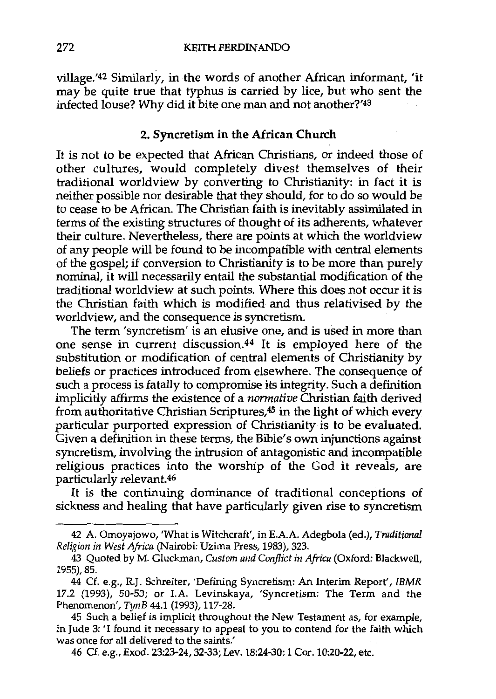village.'42 Similarly, in the words of another African informant, 'it may be quite true that typhus is carried by lice, but who sent the infected louse? Why did it bite one man and not another?'4<sup>3</sup>

#### **2. Syncretism in the African Church**

It is not to be expected that African Christians, or indeed those of other cultures, would completely divest themselves of their traditional worldview by converting to Christianity: in fact it is neither possible nor desirable that they should, for to do so would be to cease to be African. The Christian faith is inevitably assimilated in terms of the existing structures of thought of its adherents, whatever their culture. Nevertheless, there are points at which the worldview of any people will be found to be incompatible with central elements of the gospel; if conversion to Christianity is to be more than purely nominal, it will necessarily entail the substantial modification of the traditional worldview at such points. Where this does not occur it is the Christian faith which is modified and thus relativised by the worldview, and the consequence is syncretism.

The term 'syncretism' is an elusive one, and is used in more than one sense in current discussion.44 It is employed here of the substitution or modification of central elements of Christianity by beliefs or practices introduced from elsewhere. The consequence of such a process is fatally to compromise its integrity. Such a definition implicitly affirms the existence of a *normative* Christian faith derived from authoritative Christian Scriptures,45 in the light of which every particular purported expression of Christianity is to be evaluated. Given a definition in these terms, the Bible's own injunctions against syncretism, involving the intrusion of antagonistic and incompatible religious practices into the worship of the God it reveals, are particularly relevant.46

It is the continuing dominance of traditional conceptions of sickness and healing that have particularly given rise to syncretism

46 Cf. e.g., Exod. 23:23-24, 32-33; Lev. 18:24-30; 1 Cor. 10:20-22, etc.

<sup>42</sup> A. Omoyajowo, 'What is Witchcraft', in E.A.A. Adegbola (ed.), *Traditional Religion in West Africa* (Nairobi: Uzima Press, 1983), 323.

<sup>43</sup> Quoted by M. Gluckman, *Custom and Conflict in Africa* (Oxford: Blackwell, 1955), 85.

<sup>44</sup> Cf. e.g., R.J. Schreiter, 'Defining Syncretism: An Interim Report', *IBMR*  17.2 (1993), 50-53; or I.A. Levinskaya, 'Syncretism: The Term and the Phenomenon', *TynB* 44.1 (1993), 117-28.

<sup>45</sup> Such a belief is implicit throughout the New Testament as, for example, in Jude 3: 'I found it necessary to appeal to you to contend for the faith which was once for all delivered to the saints.'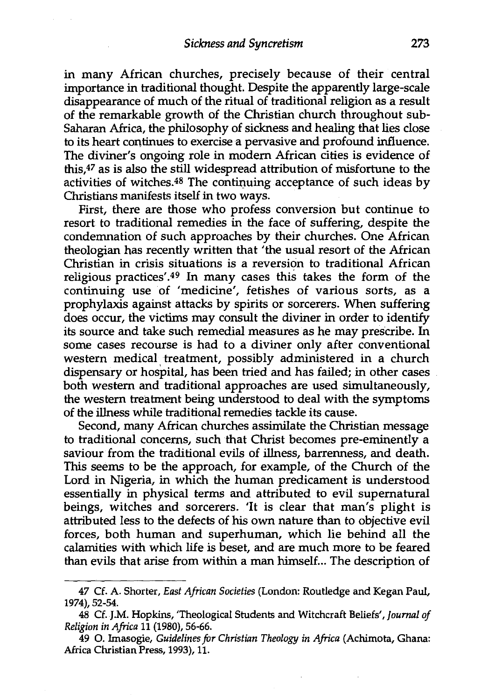in many African churches, precisely because of their central importance in traditional thought. Despite the apparently large-scale disappearance of much of the ritual of traditional religion as a result of the remarkable growth of the Christian church throughout sub-Saharan Africa, the philosophy of sickness and healing that lies close to its heart continues to exercise a pervasive and profound influence. The diviner's ongoing role in modern African cities is evidence of this,47 as is also the still widespread attribution of misfortune to the activities of witches.<sup>48</sup> The continuing acceptance of such ideas by Christians manifests itself in two ways.

First, there are those who profess conversion but continue to resort to traditional remedies in the face of suffering, despite the condemnation of such approaches by their churches. One African theologian has recently written that 'the usual resort of the African Christian in crisis situations is a reversion to traditional African religious practices'.49 In many cases this takes the form of the continuing use of 'medicine', fetishes of various sorts, as a prophylaxis against attacks by spirits or sorcerers. When suffering does occur, the victims may consult the diviner in order to identify its source and take such remedial measures as he may prescribe. In some cases recourse is had to a diviner only after conventional western medical treatment, possibly administered in a church dispensary or hospital, has been tried and has failed; in other cases both western and traditional approaches are used simultaneously, the western treatment being understood to deal with the symptoms of the illness while traditional remedies tackle its cause.

Second, many African churches assimilate the Christian message to traditional concerns, such that Christ becomes pre-eminently a saviour from the traditional evils of illness, barrenness, and death. This seems to be the approach, for example, of the Church of the Lord in Nigeria, in which the human predicament is understood essentially in physical terms and attributed to evil supernatural beings, witches and sorcerers. 'It is clear that man's plight is attributed less to the defects of his own nature than to objective evil forces, both human and superhuman, which lie behind all the calamities with which life is beset, and are much more to be feared than evils that arise from within a man himself... The description of

<sup>47</sup> Cf. A. Shorter, *East African Societies* (London: Routledge and Kegan Paul, 1974), 52-54.

<sup>48</sup> Cf. J.M. Hopkins, 'Theological Students and Witchcraft Beliefs', *Journal of Religion in Africa* 11 (1980), 56-66.

<sup>49 0.</sup> hnasogie, *Guidelines for Christian Theology in Africa* (Achimota, Ghana: Africa Christian Press, 1993), 11.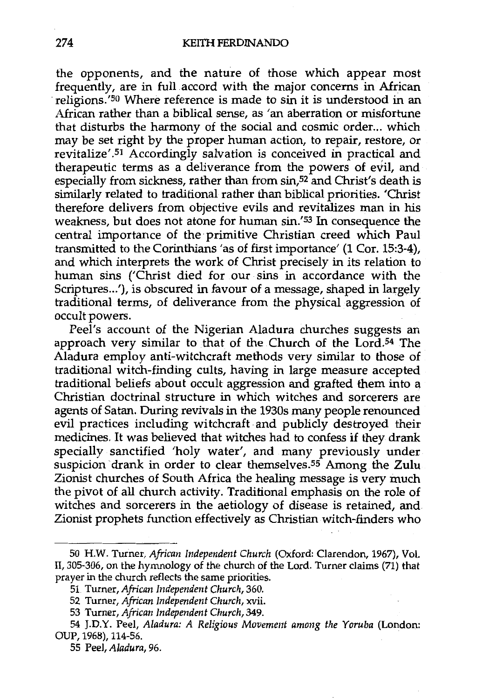the opponents, and the nature of those which appear most frequently, are in full accord with the major concerns in African religions.'<sup>50</sup> Where reference is made to sin it is understood in an African rather than a biblical sense, as 'an aberration or misfortune that disturbs the harmony of the social and cosmic order... which may be set right by the proper human action, to repair, restore, or revitalize'.<sup>51</sup> Accordingly salvation is conceived in practical and therapeutic terms as a deliverance from the powers of evil, and especially from sickness, rather than from sin,<sup>52</sup> and Christ's death is similarly related to traditional rather than biblical priorities. 'Christ therefore delivers from objective evils and revitalizes man in his weakness, but does not atone for human sin.'S3 In consequence the central importance of the primitive Christian creed which Paul transmitted to the Corinthians 'as of first importance' (1 Cor. 15:3-4), and which interprets the work of Christ precisely in its relation to human sins ('Christ died for our sins in accordance with the Scriptures...'), is obscured in favour of a message, shaped in largely traditional terms, of deliverance from the physical aggression of occult powers.

Peel's account of the Nigerian Aladura churches suggests an approach very similar to that of the Church of the Lord.<sup>54</sup> The Aladura employ anti-witchcraft methods very similar to those of traditional witch-finding cults, having in large measure accepted traditional beliefs about occult aggression and grafted them into a Christian doctrinal structure in which witches and sorcerers are agents of Satan. During revivals in the 1930s many people renounced evil practices including witchcraft and publicly destroyed their medicines. It was believed that witches had to confess if they drank specially sanctified 'holy water', and many previously under suspicion drank in order to clear themselves.<sup>55</sup> Among the Zulu Zionist churches of South Africa the healing message is very much the pivot of all church activity. Traditional emphasis on the role of witches and sorcerers in the aetiology of disease is retained, and Zionist prophets function effectively as Christian witch-finders who

<sup>50</sup> HW. Turner, *African Independent Church* (Oxford: Clarendon, 1967), Vol. II, 305-306, on the hymnology of the church of the Lord. Turner claims (71) that prayer in the church reflects the same priorities.

<sup>51</sup> Turner, *African Independent Church,* 360.

<sup>52</sup> Turner, *African Independent Church,* xvii.

<sup>53</sup> Turner, *African Independent Church,* 349.

<sup>54</sup> J.D.Y. Peel, *Aladura: A Religious Movement among the Yoruba* (London: OUP, 1968), 114-56.

<sup>55</sup> Peel, *Aladura,* 96.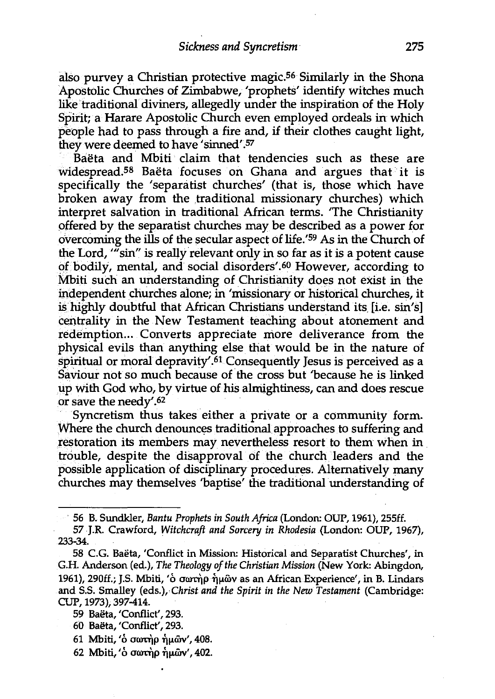also purvey a Christian protective magic.56 Similarly in the Shona Apostolic Churches of Zimbabwe, 'prophets' identify witches much like traditional diviners, allegedly under the inspiration of the Holy Spirit; a Harare Apostolic Church even employed ordeals in which people had to pass through a fire and, if their clothes caught light, they were deemed to have 'sinned'.57

Baëta and Mbiti claim that tendencies such as these are widespread.<sup>58</sup> Baeta focuses on Ghana and argues that it is specifically the 'separatist churches' (that is, those which have broken away from the traditional missionary churches) which interpret salvation in traditional African terms. 'The Christianity offered by the separatist churches may be described as a power for overcoming the ills of the secular aspect of life.'59 As in the Church of the Lord, "'sin" is really relevant only in so far as it is a potent cause of bodily, mental, and social disorders'.<sup>60</sup> However, according to Mbiti such an understanding of Christianity does not exist in the independent churches alone; in 'missionary or historical churches, it is highly doubtful that African Christians understand its [i.e. sin's] centrality in the New Testament teaching about atonement and redemption... Converts appreciate more deliverance from the physical evils than anything else that would be in the nature of spiritual or moral depravity'.61 Consequently Jesus is perceived as a Saviour not so much because of the cross but 'because he is linked up with God who, by virtue of his almightiness, can and does rescue or save the needy'.62

Syncretism thus takes either a private or a community form. Where the church denounces traditional approaches to suffering and restoration its members may nevertheless resort to them when in trouble, despite the disapproval of the church leaders and the possible application of disciplinary procedures. Alternatively many churches may themselves 'baptise' the traditional understanding of

- 60 Baeta, 'Conflict', 293.
- 61 Mbiti, ' $\acute{o}$  σωτήρ ήμων', 408.
- 62 Mbiti, ' ο σωτήρ ήμων', 402.

<sup>· 56</sup> B. Sundkler, *Bantu Prophets in South Africa* (London: OUP, 1961), 255ff.

<sup>57</sup> J.R. Crawford, *Witchcraft and Sorcery in Rhodesia* (London: OUP, 1967), 233-34.

<sup>58</sup> C.G. Baeta, 'Conflict in Mission: Historical and Separatist Churches', in G.H. Anderson (ed.), *The Theology of the Christian Mission* (New York: Abingdon, 1961), 290ff.; J.S. Mbiti, ' $\dot{\text{o}}$  owr $\dot{\text{m}}$   $\dot{\text{m}}$  w as an African Experience', in B. Lindars and S.S. Smalley (eds.), *Christ and the Spirit in the New Testament* (Cambridge: CUP, 1973), 397-414.

<sup>59</sup> Baeta, 'Conflict', 293.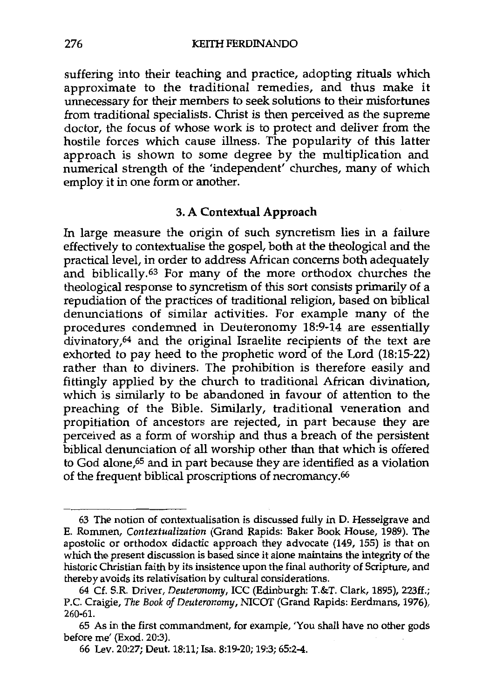suffering into their teaching and practice, adopting rituals which approximate to the traditional remedies, and thus make it unnecessary for their members to seek solutions to their misfortunes from traditional specialists. Christ is then perceived as the supreme doctor, the focus of whose work is to protect and deliver from the hostile forces which cause illness. The popularity of this latter approach is shown to some degree by the multiplication and numerical strength of the 'independent' churches, many of which employ it in one form or another.

## 3. **A Contextual Approach**

In large measure the origin of such syncretism lies in a failure effectively to contextualise the gospel, both at the theological and the practical level, in order to address African concerns both adequately and biblically.63 For many of the more orthodox churches the theological response to syncretism of this sort consists primarily of a repudiation of the practices of traditional religion, based on biblical denunciations of similar activities. For example many of the procedures condemned in Deuteronomy 18:9-14 are essentially divinatory,64 and the original Israelite recipients of the text are exhorted to pay heed to the prophetic word of the Lord (18:15-22) rather than to diviners. The prohibition is therefore easily and fittingly applied by the church to traditional African divination, which is similarly to be abandoned in favour of attention to the preaching of the Bible. Similarly, traditional veneration and propitiation of ancestors are rejected, in part because they are perceived as a form of worship and thus a breach of the persistent biblical denunciation of all worship other than that which is offered to God alone,65 and in part because they are identified as a violation of the frequent biblical proscriptions of necromancy.<sup>66</sup>

<sup>63</sup> The notion of contextualisation is discussed fully in D. Hesselgrave and E. Rommen, *Contextualization* (Grand Rapids: Baker Book House, 1989). The apostolic or orthodox didactic approach they advocate (149, 155) is that on which the present discussion is based since it alone maintains the integrity of the historic Christian faith by its insistence upon the final authority of Scripture, and thereby avoids its relativisation by cultural considerations.

<sup>64</sup> Cf. S.R. Driver, *Deuteronomy,* ICC (Edinburgh: T.&T. Clark, 1895), 223ff.; P.C. Craigie, *The Book of Deuteronomy,* NICOT (Grand Rapids: Eerdmans, 1976), 260-61.

<sup>65</sup> As in the first commandment, for example, 'You shall have no other gods before me' (Exod. 20:3).

<sup>66</sup> Lev. 20:27; Deut. 18:11; Isa. 8:19-20; 19:3; 65:2-4.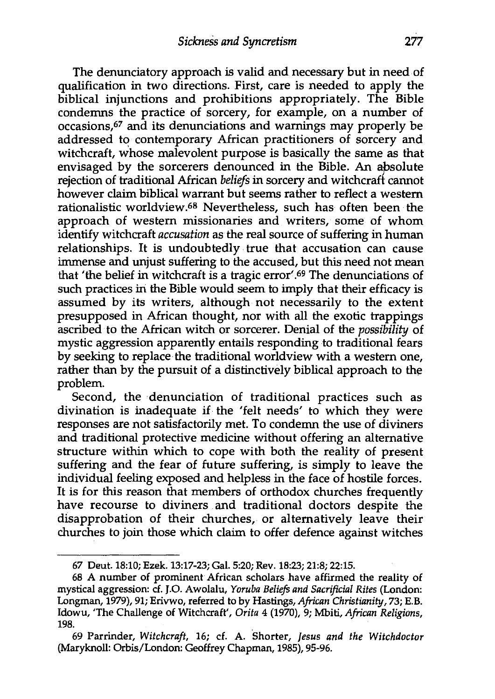The denunciatory approach is valid and necessary but in need of qualification in two directions. First, care is needed to apply the biblical injunctions and prohibitions appropriately. The Bible condemns the practice of sorcery, for example, on a number of occasions,67 and its denunciations and warnings may properly be addressed to contemporary African practitioners of sorcery and witchcraft, whose malevolent purpose is basically the same as that envisaged by the sorcerers denounced in the Bible. An absolute rejection of traditional African *beliefs* in sorcery and witchcraff cannot however claim biblical warrant but seems rather to reflect a western rationalistic worldview.68 Nevertheless, such has often been the approach of western missionaries and writers, some of whom identify witchcraft *accusation* as the real source of suffering in human relationships. It is undoubtedly true that accusation can cause immense and unjust suffering to the accused, but this need not mean that 'the belief in witchcraft is a tragic error'.69 The denunciations of such practices in the Bible would seem to imply that their efficacy is assumed by its writers, although not necessarily to the extent presupposed in African thought, nor with all the exotic trappings ascribed to the African witch or sorcerer. Denial of the *possibility* of mystic aggression apparently entails responding to traditional fears by seeking to replace the traditional worldview with a western one, rather than by the pursuit of a distinctively biblical approach to the problem.

Second, the denunciation of traditional practices such as divination is inadequate if the 'felt needs' to which they were responses are not satisfactorily met. To condemn the use of diviners and traditional protective medicine without offering an alternative structure within which to cope with both the reality of present suffering and the fear of future suffering, is simply to leave the individual feeling exposed and helpless in the face of hostile forces. It is for this reason that members of orthodox churches frequently have recourse to diviners and traditional doctors despite the disapprobation of their churches, or alternatively leave their churches to join those which claim to offer defence against witches

<sup>67</sup> Deut. 18:10; Ezek. 13:17-23; Gal. 5:20; Rev. 18:23; 21:8; 22:15.

<sup>68</sup> A number of prominent African scholars have affirmed the reality of mystical aggression: cf. J.0. Awolalu, *Yoruba Beliefs and Sacrificial Rites* (London: Longman, 1979), 91; Erivwo, referred to by Hastings, *African Christianity,* 73; E.B. Idowu, 'The Challenge of Witchcraft', *Orita* 4 (1970), 9; Mbiti, *African Religions,*  198.

<sup>69</sup> Parrinder, Witchcraft, 16; cf. A. Shorter, *Jesus and the Witchdoctor* (Maryknoll: Orbis/London: Geoffrey Chapman, 1985), 95-96.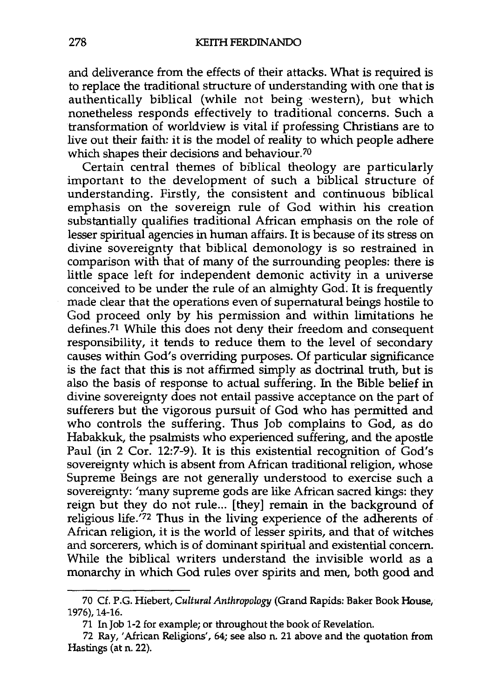and deliverance from the effects of their attacks. What is required is to replace the traditional structure of understanding with one that is authentically biblical (while not being western), but which nonetheless responds effectively to traditional concerns. Such a transformation of worldview is vital if professing Christians are to live out their faith: it is the model of reality to which people adhere which shapes their decisions and behaviour.<sup>70</sup>

Certain central themes of biblical theology are particularly important to the development of such a biblical structure of understanding. Firstly, the consistent and continuous biblical emphasis on the sovereign rule of God within his creation substantially qualifies traditional African emphasis on the role of lesser spiritual agencies in human affairs. It is because of its stress on divine sovereignty that biblical demonology is so restrained in comparison with that of many of the surrounding peoples: there is little space left for independent demonic activity in a universe conceived to be under the rule of an almighty God. It is frequently made clear that the operations even of supernatural beings hostile to God proceed only by his permission and within limitations he defines.71 While this does not deny their freedom and consequent responsibility, it tends to reduce them to the level of secondary causes within God's overriding purposes. Of particular significance is the fact that this is not affirmed simply as doctrinal truth, but is also the basis of response to actual suffering. In the Bible belief in divine sovereignty does not entail passive acceptance on the part of sufferers but the vigorous pursuit of God who has permitted and who controls the suffering. Thus Job complains to God, as do Habakkuk, the psalmists who experienced suffering, and the apostle Paul (in 2 Cor. 12:7-9). It is this existential recognition of God's sovereignty which is absent from African traditional religion, whose Supreme Beings are not generally understood to exercise such a sovereignty: 'many supreme gods are like African sacred kings: they reign but they do not rule... [they] remain in the background of religious life.'72 Thus in the living experience of the adherents of African religion, it is the world of lesser spirits, and that of witches and sorcerers, which is of dominant spiritual and existential concern. While the biblical writers understand the invisible world as a monarchy in which God rules over spirits and men, both good and

<sup>70</sup> Cf. P.G. Hiebert, *Cultural Anthropology* (Grand Rapids: Baker Book House, 1976), 14-16.

<sup>71</sup> In Job 1-2 for example; or throughout the book of Revelation.

<sup>72</sup> Ray, 'African Religions', 64; see also n. 21 above and the quotation from Hastings (at n. 22).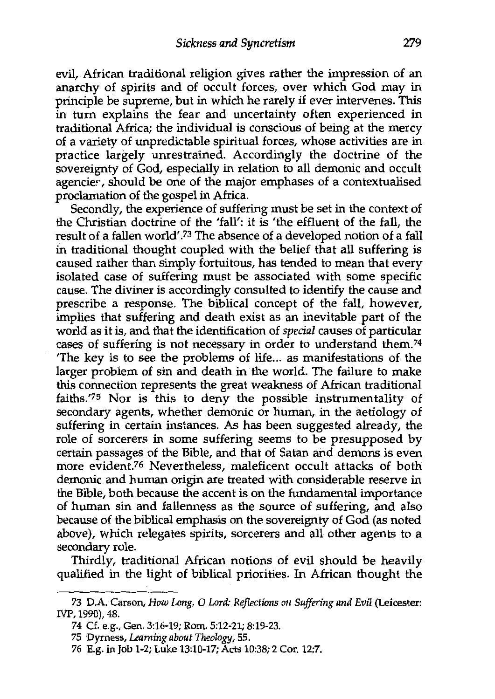evil, African traditional religion gives rather the impression of an anarchy of spirits and of occult forces, over which God may in principle be supreme, but in which he rarely if ever intervenes. This in turn explains the fear and uncertainty often experienced in traditional Africa; the individual is conscious of being at the mercy of a variety of unpredictable spiritual forces, whose activities are in practice largely unrestrained. Accordingly the doctrine of the sovereignty of God, especially in relation to all demonic and occult agencier, should be one of the major emphases of a contextualised proclamation of the gospel in Africa.

Secondly, the experience of suffering must be set in the context of the Christian doctrine of the 'fall': it is 'the effluent of the fall, the result of a fallen world'.<sup>73</sup> The absence of a developed notion of a fall in traditional thought coupled with the belief that all suffering is caused rather than simply fortuitous, has tended to mean that every isolated case of suffering must be associated with some specific cause. The diviner is accordingly consulted to identify the cause and prescribe a response. The biblical concept of the fall, however, implies that suffering and death exist as an inevitable part of the world as it is, and that the identification of *special* causes of particular cases of suffering is not necessary in order to understand them.74 'The key is to see the problems of life... as manifestations of the larger problem of sin and death in the world. The failure to make this connection represents the great weakness of African traditional faiths.'75 Nor is this to deny the possible instrumentality of secondary agents, whether demonic or human, in the aetiology of suffering in certain instances. As has been suggested already, the role of sorcerers in some suffering seems to be presupposed by certain passages of the Bible, and that of Satan and demons is even more evident.76 Nevertheless, maleficent occult attacks of both demonic and human origin are treated with considerable reserve in the Bible, both because the accent is on the fundamental importance of human sin and fallenness as the source of suffering, and also because of the biblical emphasis on the sovereignty of God (as noted above), which relegates spirits, sorcerers and all other agents to a secondary role.

Thirdly, traditional African notions of evil should be heavily qualified in the light of biblical priorities. In African thought the

<sup>73</sup> D.A. Carson, *How Long, 0 Lord: Reflections on Suffering and Evil* (Leicester: IVP, 1990), 48.

<sup>74</sup> Cf. e.g., Gen. 3:16-19; Rom. 5:12-21; 8:19-23.

<sup>75</sup> Dyrness, *Learning about Theology,* 55.

<sup>76</sup> E.g. in Job 1-2; Luke 13:10-17; Acts 10:38; 2 Cor. 12:7.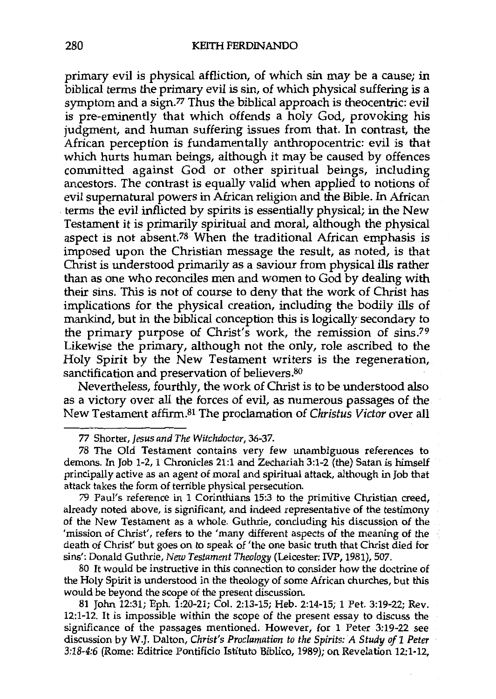primary evil is physical affliction, of which sin may be a cause; in biblical terms the primary evil is sin, of which physical suffering is a symptom and a sign.<sup>77</sup> Thus the biblical approach is theocentric: evil is pre-eminently that which offends a holy God, provoking his judgment, and human suffering issues from that. In contrast, the African perception is fundamentally anthropocentric: evil is that which hurts human beings, although it may be caused by offences committed against God or other spiritual beings, including ancestors. The contrast is equally valid when applied to notions of evil supernatural powers in African religion and the Bible. In African terms the evil inflicted by spirits is essentially physical; in the New Testament it is primarily spiritual and moral, although the physical aspect is not absent.78 When the traditional African emphasis is imposed upon the Christian message the result, as noted, is that Christ is understood primarily as a saviour from physical ills rather than as one who reconciles men and women to God by dealing with their sins. This is not of course to deny that the work of Christ has implications for the physical creation, including the bodily ills of mankind, but in the biblical conception this is logically secondary to the primary purpose of Christ's work, the remission of sins.7<sup>9</sup> Likewise the primary, although not the only, role ascribed to the Holy Spirit by the New Testament writers is the regeneration, sanctification and preservation of believers.<sup>80</sup>

Nevertheless, fourthly, the work of Christ is to be understood also as a victory over all the forces of evil, as numerous passages of the New Testament affirm.81 The proclamation of *Christus Victor* over all

79 Paul's reference in 1 Corinthians 15:3 to the primitive Christian creed, already noted above, is significant, and indeed representative of the testimony of the New Testament as a whole. Guthrie, concluding his discussion of the 'mission of Christ', refers to the 'many different aspects of the meaning of the death of Christ' but goes on to speak of 'the one basic truth that Christ died for sins': Donald Guthrie, *New Testament Theology* (Leicester: IVP, 1981), 507.

80 It would be instructive in this connection to consider how the doctrine of the Holy Spirit is understood in the theology of some African churches, but this would be beyond the scope of the present discussion.

81 John 12:31; Eph. 1:20-21; Col. 2:13-15; Heb. 2:14-15; 1 Pet. 3:19-22; Rev. 12:1-12. It is impossible within the scope of the present essay to discuss the significance of the passages mentioned. However, for 1 Peter 3:19-22 see discussion by W.J. Dalton, *Christ's Proclamation to the Spirits: A Study of 1 Peter 3:18-4:6* (Rome: Editrice Pontificio Istituto Biblico, 1989); on Revelation 12:1-12,

<sup>77</sup> Shorter, *Jesus and The Witchdoctor,* 36-37.

<sup>78</sup> The Old Testament contains very few unambiguous references to demons. In Job 1-2, 1 Chronicles 21:1 and Zechariah 3:1-2 (the) Satan is himself principally active as an agent of moral and spiritual attack, although in Job that attack takes the form of terrible physical persecution.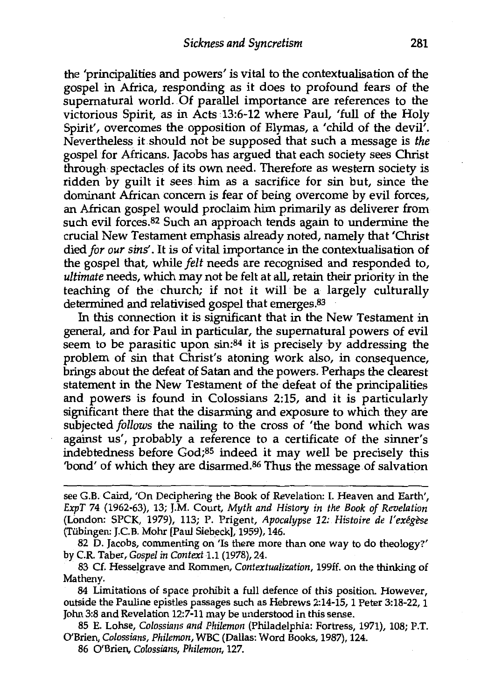the 'principalities and powers' is vital to the contextualisation of the gospel in Africa, responding as it does to profound fears of the supernatural world. Of parallel importance are references to the victorious Spirit, as in Acts 13:6-12 where Paul, 'full of the Holy Spirit', overcomes the opposition of Elymas, a 'child of the devil'. Nevertheless it should not be supposed that such a message is *the*  gospel for Africans. Jacobs has argued that each society sees Christ through spectacles of its own need. Therefore as western society is ridden by guilt it sees him as a sacrifice for sin but, since the dominant African concern is fear of being overcome by evil forces, an African gospel would proclaim him primarily as deliverer from such evil forces.82 Such an approach tends again to undermine the crucial New Testament emphasis already noted, namely that 'Christ died *for our sins'.* It is of vital importance in the contextualisation of the gospel that, while *felt* needs are recognised and responded to, *ultimate* needs, which may not be felt at all, retain their priority in the teaching of the church; if not it will be a largely culturally determined and relativised gospel that emerges.83

In this connection it is significant that in the New Testament in general, and for Paul in particular, the supernatural powers of evil seem to be parasitic upon sin:84 it is precisely by addressing the problem of sin that Christ's atoning work also, in consequence, brings about the defeat of Satan and the powers. Perhaps the clearest statement in the New Testament of the defeat of the principalities and powers is found in Colossians 2:15, and it is particularly significant there that the disarming and exposure to which they are subjected *follows* the nailing to the cross of 'the bond which was against us', probably a reference to a certificate of the sinner's indebtedness before God;85 indeed it may well be precisely this 'bond' of which they are disarmed.86 Thus the message of salvation

84 Limitations of space prohibit a full defence of this position. However, outside the Pauline epistles passages such as Hebrews 2:14-15, 1 Peter 3:18-22, 1 John 3:8 and Revelation 12:7-11 may be understood in this sense.

85 E. Lohse, *Colossians and Philemon* (Philadelphia: Fortress, 1971), 108; P.T. O'Brien, *Colossians, Philemon,* WBC (Dallas: Word Books, 1987), 124.

86 O'Brien, *Colossians, Philemon,* 127.

see G.B. Caird, 'On Deciphering the Book of Revelation: I. Heaven and Earth', *ExpT* 74 (1962-63), 13; J.M. Court, *Myth and History in the Book of Revelation*  (London: SPCK, 1979), 113; P. Prigent, *Apocalypse 12: Histoire de l'exegese*  (Tiibingen: J.C.B. Mohr [Paul Siebeck], 1959), 146.

<sup>82</sup> D. Jacobs, commenting on 'Is there more than one way to do theology?' by C.R. Taber, *Gospel in Context* 1.1 (1978), 24.

<sup>83</sup> Cf. Hesselgrave and Rommen, *Contextualization,* 199ff. on the thinking of Matheny.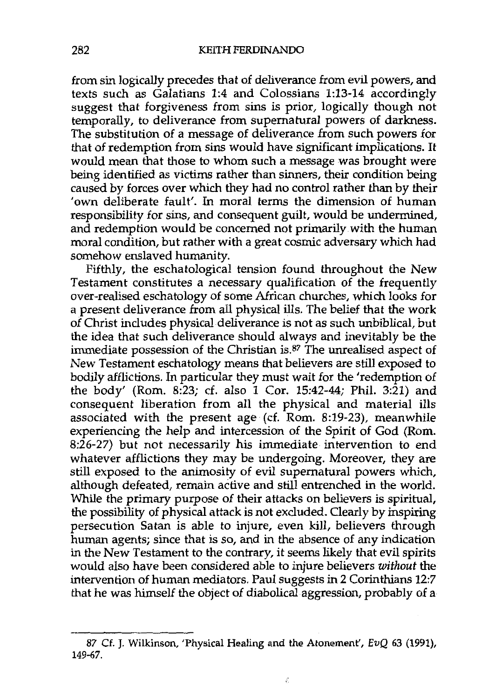from sin logically precedes that of deliverance from evil powers, and texts such as Galatians 1:4 and Colossians 1:13-14 accordingly suggest that forgiveness from sins is prior, logically though not temporally, to deliverance from supernatural powers of darkness. The substitution of a message of deliverance from such powers for that of redemption from sins would have significant implications. It would mean that those to whom such a message was brought were being identified as victims rather than sinners, their condition being caused by forces over which they had no control rather than by their 'own deliberate fault'. In moral terms the dimension of human responsibility for sins, and consequent guilt, would be undermined, and redemption would be concerned not primarily with the human moral condition, but rather with a great cosmic adversary which had somehow enslaved humanity.

Fifthly, the eschatological tension found throughout the New Testament constitutes a necessary qualification of the frequently over-realised eschatology of some African churches, which looks for a present deliverance from all physical ills. The belief that the work of Christ includes physical deliverance is not as such unbiblical, but the idea that such deliverance should always and inevitably be the immediate possession of the Christian is.87 The unrealised aspect of New Testament eschatology means that believers are still exposed to bodily afflictions. In particular they must wait for the 'redemption of the body' (Rom. 8:23; cf. also 1 Cor. 15:42-44; Phil. 3:21) and consequent liberation from all the physical and material ills associated with the present age (cf. Rom. 8:19-23), meanwhile experiencing the help and intercession of the Spirit of God (Rom. 8:26-27) but not necessarily his immediate intervention to end whatever afflictions they may be undergoing. Moreover, they are still exposed to the animosity of evil supernatural powers which, although defeated, remain active and still entrenched in the world. While the primary purpose of their attacks on believers is spiritual, the possibility of physical attack is not excluded. Clearly by inspiring persecution Satan is able to injure, even kill, believers through human agents; since that is so, and in the absence of any indication in the New Testament to the contrary, it seems likely that evil spirits would also have been considered able to injure believers *without* the intervention of human mediators. Paul suggests in 2 Corinthians 12:7 that he was himself the object of diabolical aggression, probably of a

 $\hat{\epsilon}$ 

<sup>87</sup> Cf. J. Wilkinson, 'Physical Healing and the Atonement', EvQ 63 (1991), 149-67.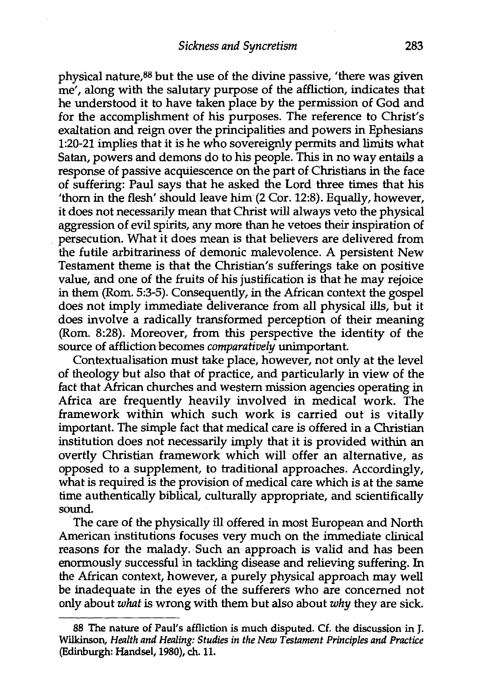physical nature,BB but the use of the divine passive, 'there was given me', along with the salutary purpose of the affliction, indicates that he understood it to have taken place by the permission of God and for the accomplishment of his purposes. The reference to Christ's exaltation and reign over the principalities and powers in Ephesians 1:20-21 implies that it is he who sovereignly permits and limits what Satan, powers and demons do to his people. This in no way entails a response of passive acquiescence on the part of Christians in the face of suffering: Paul says that he asked the Lord three times that his 'thorn in the flesh' should leave him (2 Cor. 12:8). Equally, however, it does not necessarily mean that Christ will always veto the physical aggression of evil spirits, any more than he vetoes their inspiration of persecution. What it does mean is that believers are delivered from the futile arbitrariness of demonic malevolence. A persistent New Testament theme is that the Christian's sufferings take on positive value, and one of the fruits of his justification is that he may rejoice in them (Rom. 5:3-5). Consequently, in the African context the gospel does not imply immediate deliverance from all physical ills, but it does involve a radically transformed perception of their meaning (Rom. 8:28). Moreover, from this perspective the identity of the source of affliction becomes *comparatively* unimportant.

Contextualisation must take place, however, not only at the level of theology but also that of practice, and particularly in view of the fact that African churches and western mission agencies operating in Africa are frequently heavily involved in medical work. The framework within which such work is carried out is vitally important. The simple fact that medical care is offered in a Christian institution does not necessarily imply that it is provided within an overtly Christian framework which will offer an alternative, as opposed to a supplement, to traditional approaches. Accordingly, what is required is the provision of medical care which is at the same time authentically biblical, culturally appropriate, and scientifically sound.

The care of the physically ill offered in most European and North American institutions focuses very much on the immediate clinical reasons for the malady. Such an approach is valid and has been enormously successful in tackling disease and relieving suffering. In the African context, however, a purely physical approach may well be inadequate in the eyes of the sufferers who are concerned not only about *what* is wrong with them but also about *why* they are sick.

<sup>88</sup> The nature of Paul's affliction is much disputed. Cf. the discussion in J. Wilkinson, *Health and Healing: Studies in the New Testament Principles and Practice*  (Edinburgh: Handset, 1980), ch.11.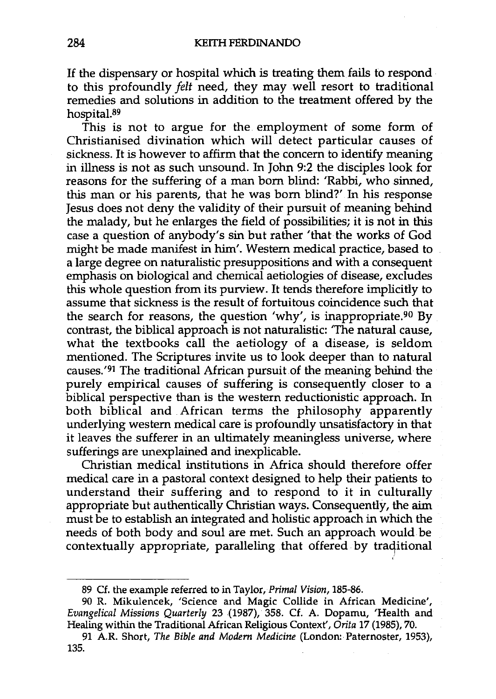If the dispensary or hospital which is treating them fails to respond to this profoundly *felt* need, they may well resort to traditional remedies and solutions in addition to the treatment offered by the hospital.89

This is not to argue for the employment of some form of Christianised divination which will detect particular causes of sickness. It is however to affirm that the concern to identify meaning in illness is not as such unsound. In John 9:2 the disciples look for reasons for the suffering of a man born blind: 'Rabbi, who sinned, this man or his parents, that he was born blind?' In his response Jesus does not deny the validity of their pursuit of meaning behind the malady, but he enlarges the field of possibilities; it is not in this case a question of anybody's sin but rather 'that the works of God might be made manifest in him'. Western medical practice, based to a large degree on naturalistic presuppositions and with a consequent emphasis on biological and chemical aetiologies of disease, excludes this whole question from its purview. It tends therefore implicitly to assume that sickness is the result of fortuitous coincidence such that the search for reasons, the question 'why', is inappropriate.<sup>90</sup> By contrast, the biblical approach is not naturalistic: 'The natural cause, what the textbooks call the aetiology of a disease, is seldom mentioned. The Scriptures invite us to look deeper than to natural causes. '91 The traditional African pursuit of the meaning behind the purely empirical causes of suffering is consequently closer to a biblical perspective than is the western reductionistic approach. In both biblical and African terms the philosophy apparently underlying western medical care is profoundly unsatisfactory in that it leaves the sufferer in an ultimately meaningless universe, where sufferings are unexplained and inexplicable.

Christian medical institutions in Africa should therefore offer medical care in a pastoral context designed to help their patients to understand their suffering and to respond to it in culturally appropriate but authentically Christian ways. Consequently, the aim must be to establish an integrated and holistic approach in which the needs of both body and soul are met. Such an approach would be contextually appropriate, paralleling that offered by traditional

<sup>89</sup> Cf. the example referred to in Taylor, *Primal Vision,* 185-86.

<sup>90</sup> R. Mikulencek, 'Science and Magic Collide in African Medicine', *Evangelical Missions Quarterly* 23 (1987), 358. Cf. A. Dopamu, 'Health and Healing within the Traditional African Religious Context', *Orita* 17 (1985), 70.

<sup>91</sup> A.R. Short, *The Bible and Modern Medicine* (London: Paternoster, 1953), 135.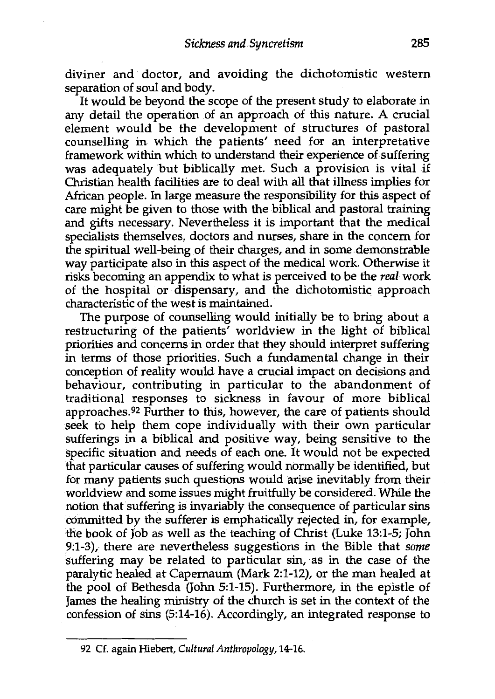diviner and doctor, and avoiding the dichotomistic western separation of soul and body.

It would be beyond the scope of the present study to elaborate in any detail the operation of an approach of this nature. A crucial element would be the development of structures of pastoral counselling in which the patients' need for an interpretative framework within which to understand their experience of suffering was adequately but biblically met. Such a provision is vital if Christian health facilities are to deal with all that illness implies for African people. In large measure the responsibility for this aspect of care might be given to those with the biblical and pastoral training and gifts necessary. Nevertheless it is important that the medical specialists themselves, doctors and nurses, share in the concern for the spiritual well-being of their charges, and in some demonstrable way participate also in this aspect of the medical work. Otherwise it risks becoming an appendix to what is perceived to be the *real* work of the hospital or dispensary, and the dichotomistic approach characteristic of the west is maintained.

The purpose of counselling would initially be to bring about a restructuring of the patients' worldview in the light of biblical priorities and concerns in order that they should interpret suffering in terms of those priorities. Such a fundamental change in their conception of reality would have a crucial impact on decisions and behaviour, contributing in particular to the abandonment of traditional responses to sickness in favour of more biblical approaches.<sup>92</sup> Further to this, however, the care of patients should seek to help them cope individually with their own particular sufferings in a biblical and positive way, being sensitive to the specific situation and needs of each one. It would not be expected that particular causes of suffering would normally be identified, but for many patients such questions would arise inevitably from their worldview and some issues might fruitfully be considered. While the notion that suffering is invariably the consequence of particular sins committed by the sufferer is emphatically rejected in, for example, the book of Job as well as the teaching of Christ (Luke 13:1-5; John 9:1-3), there are nevertheless suggestions in the Bible that *some*  suffering may be related to particular sin, as in the case of the paralytic healed at Capernaum (Mark 2:1-12), or the man healed at the pool of Bethesda (John 5:1-15). Furthermore, in the epistle of James the healing ministry of the church is set in the context of the confession of sins (5:14-16). Accordingly, an integrated response to

<sup>92</sup> Cf. again Hiebert, *Cultural Anthropology,* 14-16.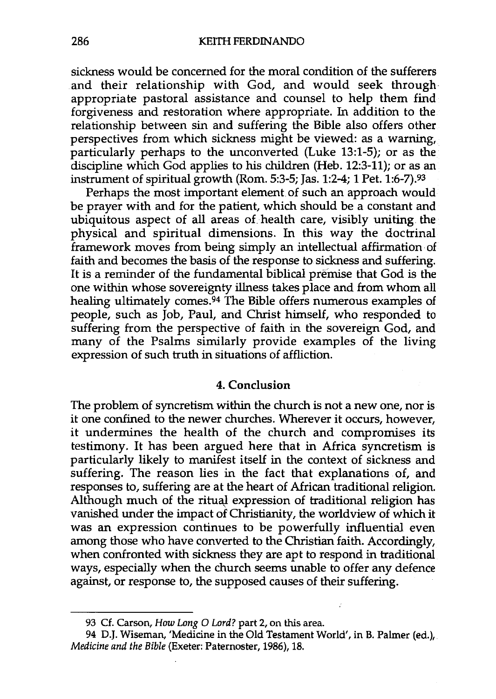sickness would be concerned for the moral condition of the sufferers and their relationship with God, and would seek through appropriate pastoral assistance and counsel to help them find forgiveness and restoration where appropriate. In addition to the relationship between sin and suffering the Bible also offers other perspectives from which sickness might be viewed: as a warning, particularly perhaps to the unconverted (Luke 13:1-5); or as the discipline which God applies to his children (Heb. 12:3-11); or as an instrument of spiritual growth (Rom. 5:3-5; Jas. 1:2-4; 1 Pet. 1:6-7).93

Perhaps the most important element of such an approach would be prayer with and for the patient, which should be a constant and ubiquitous aspect of all areas of health care, visibly uniting the physical and spiritual dimensions. In this way the doctrinal framework moves from being simply an intellectual affirmation of faith and becomes the basis of the response to sickness and suffering. It is a reminder of the fundamental biblical premise that God is the one within whose sovereignty illness takes place and from whom all healing ultimately comes.<sup>94</sup> The Bible offers numerous examples of people, such as Job, Paul, and Christ himself, who responded to suffering from the perspective of faith in the sovereign God, and many of the Psalms similarly provide examples of the living expression of such truth in situations of affliction.

#### 4. **Conclusion**

The problem of syncretism within the church is not a new one, nor is it one confined to the newer churches. Wherever it occurs, however, it undermines the health of the church and compromises its testimony. It has been argued here that in Africa syncretism is particularly likely to manifest itself in the context of sickness and suffering. The reason lies in the fact that explanations of, and responses to, suffering are at the heart of African traditional religion. Although much of the ritual expression of traditional religion has vanished under the impact of Christianity, the worldview of which it was an expression continues to be powerfully influential even among those who have converted to the Christian faith. Accordingly, when confronted with sickness they are apt to respond in traditional ways, especially when the church seems unable to offer any defence against, or response to, the supposed causes of their suffering.

<sup>93</sup> Cf. Carson, *How Long* O *Lord?* part 2, on this area.

<sup>94</sup> D.J. Wiseman, 'Medicine in the Old Testament World', in B. Palmer (ed.), *Medicine and the Bible* (Exeter: Paternoster, 1986), 18.